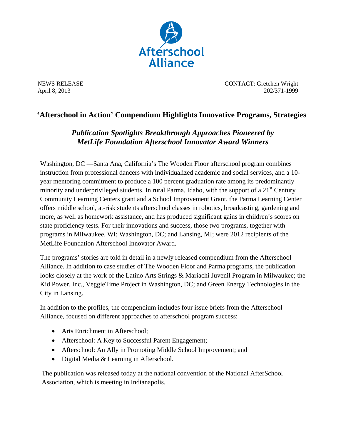

NEWS RELEASE CONTACT: Gretchen Wright April 8, 2013 202/371-1999

## **'Afterschool in Action' Compendium Highlights Innovative Programs, Strategies**

## *Publication Spotlights Breakthrough Approaches Pioneered by MetLife Foundation Afterschool Innovator Award Winners*

Washington, DC —Santa Ana, California's The Wooden Floor afterschool program combines instruction from professional dancers with individualized academic and social services, and a 10 year mentoring commitment to produce a 100 percent graduation rate among its predominantly minority and underprivileged students. In rural Parma, Idaho, with the support of a  $21<sup>st</sup>$  Century Community Learning Centers grant and a School Improvement Grant, the Parma Learning Center offers middle school, at-risk students afterschool classes in robotics, broadcasting, gardening and more, as well as homework assistance, and has produced significant gains in children's scores on state proficiency tests. For their innovations and success, those two programs, together with programs in Milwaukee, WI; Washington, DC; and Lansing, MI; were 2012 recipients of the MetLife Foundation Afterschool Innovator Award.

The programs' stories are told in detail in a newly released compendium from the Afterschool Alliance. In addition to case studies of The Wooden Floor and Parma programs, the publication looks closely at the work of the Latino Arts Strings & Mariachi Juvenil Program in Milwaukee; the Kid Power, Inc., VeggieTime Project in Washington, DC; and Green Energy Technologies in the City in Lansing.

In addition to the profiles, the compendium includes four issue briefs from the Afterschool Alliance, focused on different approaches to afterschool program success:

- Arts Enrichment in Afterschool:
- Afterschool: A Key to Successful Parent Engagement;
- Afterschool: An Ally in Promoting Middle School Improvement; and
- Digital Media & Learning in Afterschool.

The publication was released today at the national convention of the National AfterSchool Association, which is meeting in Indianapolis.